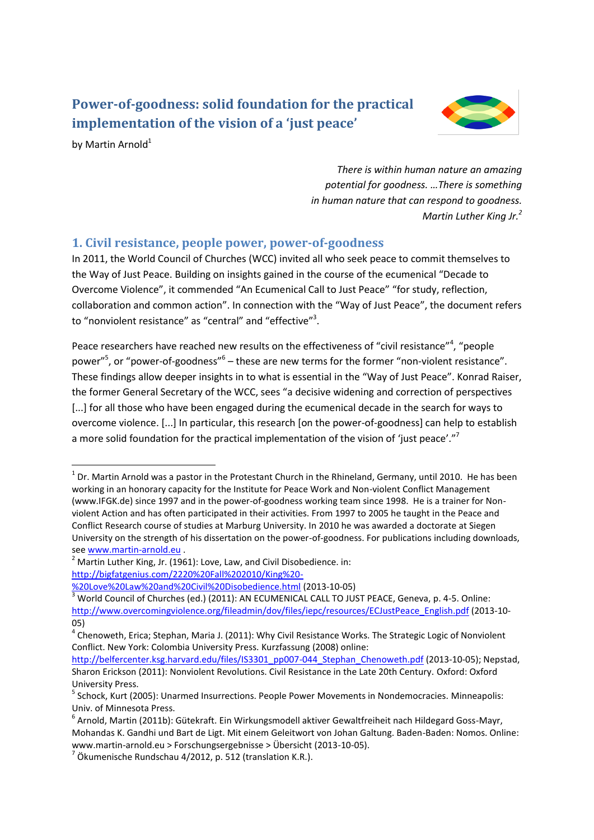# **Power-of-goodness: solid foundation for the practical implementation of the vision of a 'just peace'**



by Martin Arnold<sup>1</sup>

**.** 

<span id="page-0-0"></span>*There is within human nature an amazing potential for goodness. …There is something in human nature that can respond to goodness. Martin Luther King Jr.<sup>2</sup>*

### **1. Civil resistance, people power, power-of-goodness**

In 2011, the World Council of Churches (WCC) invited all who seek peace to commit themselves to the Way of Just Peace. Building on insights gained in the course of the ecumenical "Decade to Overcome Violence", it commended "An Ecumenical Call to Just Peace" "for study, reflection, collaboration and common action". In connection with the "Way of Just Peace", the document refers to "nonviolent resistance" as "central" and "effective"<sup>3</sup>.

Peace researchers have reached new results on the effectiveness of "civil resistance"<sup>4</sup>, "people power"<sup>5</sup>, or "power-of-goodness"<sup>6</sup> – these are new terms for the former "non-violent resistance". These findings allow deeper insights in to what is essential in the "Way of Just Peace". Konrad Raiser, the former General Secretary of the WCC, sees "a decisive widening and correction of perspectives [...] for all those who have been engaged during the ecumenical decade in the search for ways to overcome violence. [...] In particular, this research [on the power-of-goodness] can help to establish a more solid foundation for the practical implementation of the vision of 'just peace'."<sup>7</sup>

 $^{1}$  Dr. Martin Arnold was a pastor in the Protestant Church in the Rhineland, Germany, until 2010. He has been working in an honorary capacity for the Institute for Peace Work and Non-violent Conflict Management (www.IFGK.de) since 1997 and in the power-of-goodness working team since 1998. He is a trainer for Nonviolent Action and has often participated in their activities. From 1997 to 2005 he taught in the Peace and Conflict Research course of studies at Marburg University. In 2010 he was awarded a doctorate at Siegen University on the strength of his dissertation on the power-of-goodness. For publications including downloads, see [www.martin-arnold.eu](http://www.martin-arnold.eu/).

 $2$  Martin Luther King, Jr. (1961): Love, Law, and Civil Disobedience. in: [http://bigfatgenius.com/2220%20Fall%202010/King%20-](http://bigfatgenius.com/2220%20Fall%202010/King%20-%20Love%20Law%20and%20Civil%20Disobedience.html)

[<sup>%20</sup>Love%20Law%20and%20Civil%20Disobedience.html](http://bigfatgenius.com/2220%20Fall%202010/King%20-%20Love%20Law%20and%20Civil%20Disobedience.html) (2013-10-05)

<sup>&</sup>lt;sup>3</sup> World Council of Churches (ed.) (2011): AN ECUMENICAL CALL TO JUST PEACE, Geneva, p. 4-5. Online: [http://www.overcomingviolence.org/fileadmin/dov/files/iepc/resources/ECJustPeace\\_English.pdf](http://www.overcomingviolence.org/fileadmin/dov/files/iepc/resources/ECJustPeace_English.pdf) (2013-10- 05)

<sup>&</sup>lt;sup>4</sup> Chenoweth, Erica; Stephan, Maria J. (2011): Why Civil Resistance Works. The Strategic Logic of Nonviolent Conflict. New York: Colombia University Press. Kurzfassung (2008) online:

[http://belfercenter.ksg.harvard.edu/files/IS3301\\_pp007-044\\_Stephan\\_Chenoweth.pdf](http://belfercenter.ksg.harvard.edu/files/IS3301_pp007-044_Stephan_Chenoweth.pdf) (2013-10-05); Nepstad, Sharon Erickson (2011): Nonviolent Revolutions. Civil Resistance in the Late 20th Century. Oxford: Oxford University Press.

<sup>&</sup>lt;sup>5</sup> Schock, Kurt (2005): Unarmed Insurrections. People Power Movements in Nondemocracies. Minneapolis: Univ. of Minnesota Press.

<sup>6</sup> Arnold, Martin (2011b): Gütekraft. Ein Wirkungsmodell aktiver Gewaltfreiheit nach Hildegard Goss-Mayr, Mohandas K. Gandhi und Bart de Ligt. Mit einem Geleitwort von Johan Galtung. Baden-Baden: Nomos. Online: www.martin-arnold.eu > Forschungsergebnisse > Übersicht (2013-10-05).

 $^7$  Ökumenische Rundschau 4/2012, p. 512 (translation K.R.).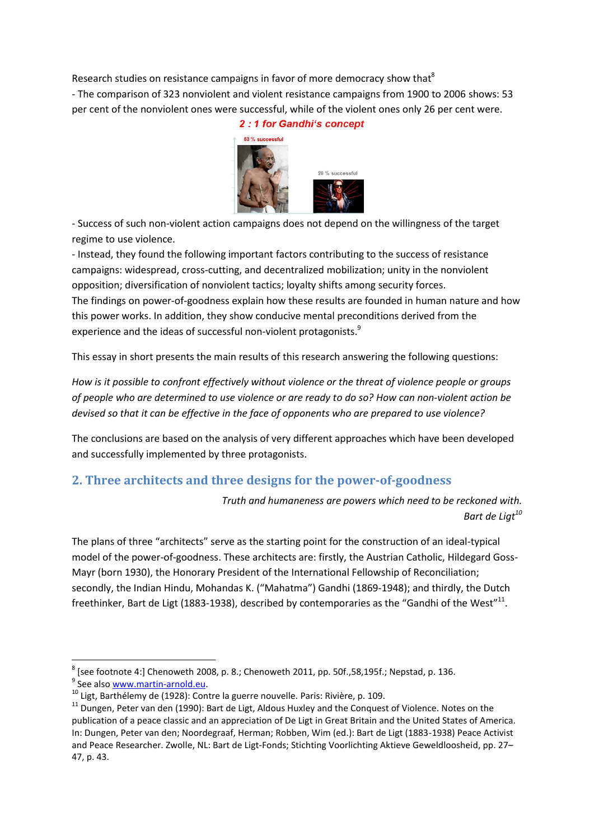Research studies on resistance campaigns in favor of more democracy show that<sup>8</sup> - The comparison of 323 nonviolent and violent resistance campaigns from 1900 to 2006 shows: 53 per cent of the nonviolent ones were successful, while of the violent ones only 26 per cent were. 2:1 for Gandhi's concept



- Success of such non-violent action campaigns does not depend on the willingness of the target regime to use violence.

- Instead, they found the following important factors contributing to the success of resistance campaigns: widespread, cross-cutting, and decentralized mobilization; unity in the nonviolent opposition; diversification of nonviolent tactics; loyalty shifts among security forces. The findings on power-of-goodness explain how these results are founded in human nature and how this power works. In addition, they show conducive mental preconditions derived from the experience and the ideas of successful non-violent protagonists.<sup>9</sup>

This essay in short presents the main results of this research answering the following questions:

*How is it possible to confront effectively without violence or the threat of violence people or groups of people who are determined to use violence or are ready to do so? How can non-violent action be devised so that it can be effective in the face of opponents who are prepared to use violence?*

The conclusions are based on the analysis of very different approaches which have been developed and successfully implemented by three protagonists.

## **2. Three architects and three designs for the power-of-goodness**

*Truth and humaneness are powers which need to be reckoned with. Bart de Ligt<sup>10</sup>*

The plans of three "architects" serve as the starting point for the construction of an ideal-typical model of the power-of-goodness. These architects are: firstly, the Austrian Catholic, Hildegard Goss-Mayr (born 1930), the Honorary President of the International Fellowship of Reconciliation; secondly, the Indian Hindu, Mohandas K. ("Mahatma") Gandhi (1869-1948); and thirdly, the Dutch freethinker, Bart de Ligt (1883-1938), described by contemporaries as the "Gandhi of the West"<sup>11</sup>.

**<sup>.</sup>**  $^8$  [see footnote [4:](#page-0-0)] Chenoweth 2008, p. 8.; Chenoweth 2011, pp. 50f.,58,195f.; Nepstad, p. 136. <sup>9</sup> See also [www.martin-arnold.eu.](http://www.martin-arnold.eu/)

<sup>10</sup> Ligt, Barthélemy de (1928): Contre la guerre nouvelle. Paris: Rivière, p. 109.

 $11$  Dungen, Peter van den (1990): Bart de Ligt, Aldous Huxley and the Conquest of Violence. Notes on the publication of a peace classic and an appreciation of De Ligt in Great Britain and the United States of America. In: Dungen, Peter van den; Noordegraaf, Herman; Robben, Wim (ed.): Bart de Ligt (1883-1938) Peace Activist and Peace Researcher. Zwolle, NL: Bart de Ligt-Fonds; Stichting Voorlichting Aktieve Geweldloosheid, pp. 27– 47, p. 43.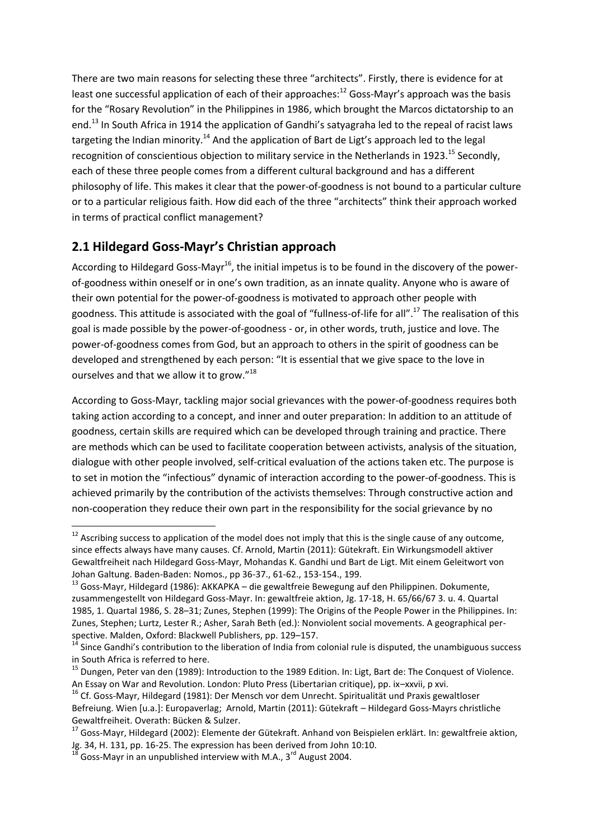There are two main reasons for selecting these three "architects". Firstly, there is evidence for at least one successful application of each of their approaches: $12$  Goss-Mayr's approach was the basis for the "Rosary Revolution" in the Philippines in 1986, which brought the Marcos dictatorship to an end.<sup>13</sup> In South Africa in 1914 the application of Gandhi's satyagraha led to the repeal of racist laws targeting the Indian minority.<sup>14</sup> And the application of Bart de Ligt's approach led to the legal recognition of conscientious objection to military service in the Netherlands in 1923.<sup>15</sup> Secondly, each of these three people comes from a different cultural background and has a different philosophy of life. This makes it clear that the power-of-goodness is not bound to a particular culture or to a particular religious faith. How did each of the three "architects" think their approach worked in terms of practical conflict management?

## **2.1 Hildegard Goss-Mayr's Christian approach**

According to Hildegard Goss-Mayr<sup>16</sup>, the initial impetus is to be found in the discovery of the powerof-goodness within oneself or in one's own tradition, as an innate quality. Anyone who is aware of their own potential for the power-of-goodness is motivated to approach other people with goodness. This attitude is associated with the goal of "fullness-of-life for all".<sup>17</sup> The realisation of this goal is made possible by the power-of-goodness - or, in other words, truth, justice and love. The power-of-goodness comes from God, but an approach to others in the spirit of goodness can be developed and strengthened by each person: "It is essential that we give space to the love in ourselves and that we allow it to grow."<sup>18</sup>

According to Goss-Mayr, tackling major social grievances with the power-of-goodness requires both taking action according to a concept, and inner and outer preparation: In addition to an attitude of goodness, certain skills are required which can be developed through training and practice. There are methods which can be used to facilitate cooperation between activists, analysis of the situation, dialogue with other people involved, self-critical evaluation of the actions taken etc. The purpose is to set in motion the "infectious" dynamic of interaction according to the power-of-goodness. This is achieved primarily by the contribution of the activists themselves: Through constructive action and non-cooperation they reduce their own part in the responsibility for the social grievance by no

 $12$  Ascribing success to application of the model does not imply that this is the single cause of any outcome, since effects always have many causes. Cf. Arnold, Martin (2011): Gütekraft. Ein Wirkungsmodell aktiver Gewaltfreiheit nach Hildegard Goss-Mayr, Mohandas K. Gandhi und Bart de Ligt. Mit einem Geleitwort von Johan Galtung. Baden-Baden: Nomos., pp 36-37., 61-62., 153-154., 199.

<sup>&</sup>lt;sup>13</sup> Goss-Mayr, Hildegard (1986): AKKAPKA – die gewaltfreie Bewegung auf den Philippinen. Dokumente, zusammengestellt von Hildegard Goss-Mayr. In: gewaltfreie aktion, Jg. 17-18, H. 65/66/67 3. u. 4. Quartal 1985, 1. Quartal 1986, S. 28–31; Zunes, Stephen (1999): The Origins of the People Power in the Philippines. In: Zunes, Stephen; Lurtz, Lester R.; Asher, Sarah Beth (ed.): Nonviolent social movements. A geographical perspective. Malden, Oxford: Blackwell Publishers, pp. 129–157.

<sup>&</sup>lt;sup>14</sup> Since Gandhi's contribution to the liberation of India from colonial rule is disputed, the unambiguous success in South Africa is referred to here.

<sup>&</sup>lt;sup>15</sup> Dungen, Peter van den (1989): Introduction to the 1989 Edition. In: Ligt, Bart de: The Conquest of Violence. An Essay on War and Revolution. London: Pluto Press (Libertarian critique), pp. ix–xxvii, p xvi.

<sup>&</sup>lt;sup>16</sup> Cf. Goss-Mayr, Hildegard (1981): Der Mensch vor dem Unrecht. Spiritualität und Praxis gewaltloser Befreiung. Wien [u.a.]: Europaverlag; Arnold, Martin (2011): Gütekraft – Hildegard Goss-Mayrs christliche Gewaltfreiheit. Overath: Bücken & Sulzer.

<sup>&</sup>lt;sup>17</sup> Goss-Mayr, Hildegard (2002): Elemente der Gütekraft. Anhand von Beispielen erklärt. In: gewaltfreie aktion, Jg. 34, H. 131, pp. 16-25. The expression has been derived from John 10:10.

 $^3$  Goss-Mayr in an unpublished interview with M.A., 3<sup>rd</sup> August 2004.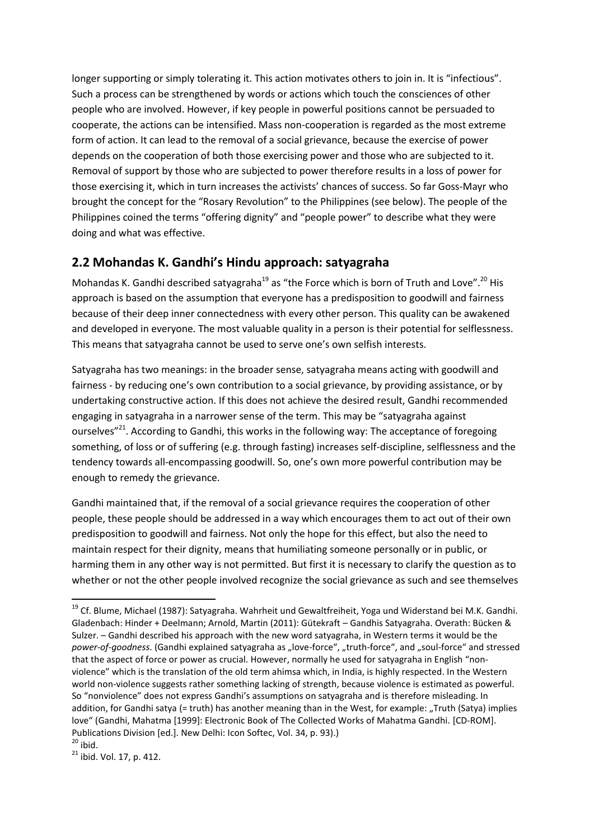longer supporting or simply tolerating it. This action motivates others to join in. It is "infectious". Such a process can be strengthened by words or actions which touch the consciences of other people who are involved. However, if key people in powerful positions cannot be persuaded to cooperate, the actions can be intensified. Mass non-cooperation is regarded as the most extreme form of action. It can lead to the removal of a social grievance, because the exercise of power depends on the cooperation of both those exercising power and those who are subjected to it. Removal of support by those who are subjected to power therefore results in a loss of power for those exercising it, which in turn increases the activists' chances of success. So far Goss-Mayr who brought the concept for the "Rosary Revolution" to the Philippines (see below). The people of the Philippines coined the terms "offering dignity" and "people power" to describe what they were doing and what was effective.

## **2.2 Mohandas K. Gandhi's Hindu approach: satyagraha**

Mohandas K. Gandhi described satyagraha<sup>19</sup> as "the Force which is born of Truth and Love".<sup>20</sup> His approach is based on the assumption that everyone has a predisposition to goodwill and fairness because of their deep inner connectedness with every other person. This quality can be awakened and developed in everyone. The most valuable quality in a person is their potential for selflessness. This means that satyagraha cannot be used to serve one's own selfish interests.

Satyagraha has two meanings: in the broader sense, satyagraha means acting with goodwill and fairness - by reducing one's own contribution to a social grievance, by providing assistance, or by undertaking constructive action. If this does not achieve the desired result, Gandhi recommended engaging in satyagraha in a narrower sense of the term. This may be "satyagraha against ourselves<sup>"21</sup>. According to Gandhi, this works in the following way: The acceptance of foregoing something, of loss or of suffering (e.g. through fasting) increases self-discipline, selflessness and the tendency towards all-encompassing goodwill. So, one's own more powerful contribution may be enough to remedy the grievance.

Gandhi maintained that, if the removal of a social grievance requires the cooperation of other people, these people should be addressed in a way which encourages them to act out of their own predisposition to goodwill and fairness. Not only the hope for this effect, but also the need to maintain respect for their dignity, means that humiliating someone personally or in public, or harming them in any other way is not permitted. But first it is necessary to clarify the question as to whether or not the other people involved recognize the social grievance as such and see themselves

<sup>&</sup>lt;sup>19</sup> Cf. Blume, Michael (1987): Satyagraha. Wahrheit und Gewaltfreiheit, Yoga und Widerstand bei M.K. Gandhi. Gladenbach: Hinder + Deelmann; Arnold, Martin (2011): Gütekraft – Gandhis Satyagraha. Overath: Bücken & Sulzer. – Gandhi described his approach with the new word satyagraha, in Western terms it would be the power-of-goodness. (Gandhi explained satyagraha as "love-force", "truth-force", and "soul-force" and stressed that the aspect of force or power as crucial. However, normally he used for satyagraha in English "nonviolence" which is the translation of the old term ahimsa which, in India, is highly respected. In the Western world non-violence suggests rather something lacking of strength, because violence is estimated as powerful. So "nonviolence" does not express Gandhi's assumptions on satyagraha and is therefore misleading. In addition, for Gandhi satya (= truth) has another meaning than in the West, for example: "Truth (Satya) implies love" (Gandhi, Mahatma [1999]: Electronic Book of The Collected Works of Mahatma Gandhi. [CD-ROM]. Publications Division [ed.]. New Delhi: Icon Softec, Vol. 34, p. 93).)

 $20$  ibid.

<sup>&</sup>lt;sup>21</sup> ibid. Vol. 17, p. 412.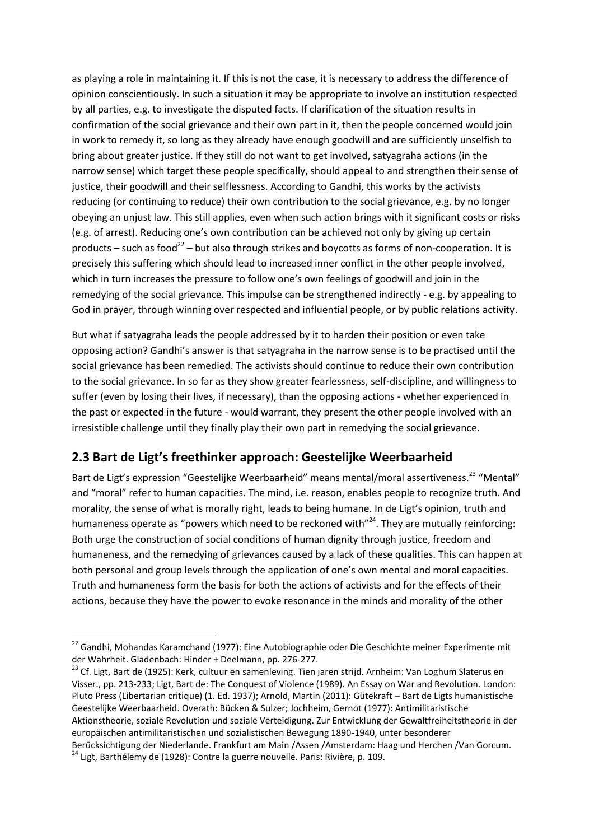as playing a role in maintaining it. If this is not the case, it is necessary to address the difference of opinion conscientiously. In such a situation it may be appropriate to involve an institution respected by all parties, e.g. to investigate the disputed facts. If clarification of the situation results in confirmation of the social grievance and their own part in it, then the people concerned would join in work to remedy it, so long as they already have enough goodwill and are sufficiently unselfish to bring about greater justice. If they still do not want to get involved, satyagraha actions (in the narrow sense) which target these people specifically, should appeal to and strengthen their sense of justice, their goodwill and their selflessness. According to Gandhi, this works by the activists reducing (or continuing to reduce) their own contribution to the social grievance, e.g. by no longer obeying an unjust law. This still applies, even when such action brings with it significant costs or risks (e.g. of arrest). Reducing one's own contribution can be achieved not only by giving up certain products – such as food<sup>22</sup> – but also through strikes and boycotts as forms of non-cooperation. It is precisely this suffering which should lead to increased inner conflict in the other people involved, which in turn increases the pressure to follow one's own feelings of goodwill and join in the remedying of the social grievance. This impulse can be strengthened indirectly - e.g. by appealing to God in prayer, through winning over respected and influential people, or by public relations activity.

But what if satyagraha leads the people addressed by it to harden their position or even take opposing action? Gandhi's answer is that satyagraha in the narrow sense is to be practised until the social grievance has been remedied. The activists should continue to reduce their own contribution to the social grievance. In so far as they show greater fearlessness, self-discipline, and willingness to suffer (even by losing their lives, if necessary), than the opposing actions - whether experienced in the past or expected in the future - would warrant, they present the other people involved with an irresistible challenge until they finally play their own part in remedying the social grievance.

## **2.3 Bart de Ligt's freethinker approach: Geestelijke Weerbaarheid**

Bart de Ligt's expression "Geestelijke Weerbaarheid" means mental/moral assertiveness.<sup>23</sup> "Mental" and "moral" refer to human capacities. The mind, i.e. reason, enables people to recognize truth. And morality, the sense of what is morally right, leads to being humane. In de Ligt's opinion, truth and humaneness operate as "powers which need to be reckoned with"<sup>24</sup>. They are mutually reinforcing: Both urge the construction of social conditions of human dignity through justice, freedom and humaneness, and the remedying of grievances caused by a lack of these qualities. This can happen at both personal and group levels through the application of one's own mental and moral capacities. Truth and humaneness form the basis for both the actions of activists and for the effects of their actions, because they have the power to evoke resonance in the minds and morality of the other

<sup>23</sup> Cf. Ligt, Bart de (1925): Kerk, cultuur en samenleving. Tien jaren strijd. Arnheim: Van Loghum Slaterus en Visser., pp. 213-233; Ligt, Bart de: The Conquest of Violence (1989). An Essay on War and Revolution. London: Pluto Press (Libertarian critique) (1. Ed. 1937); Arnold, Martin (2011): Gütekraft – Bart de Ligts humanistische Geestelijke Weerbaarheid. Overath: Bücken & Sulzer; Jochheim, Gernot (1977): Antimilitaristische Aktionstheorie, soziale Revolution und soziale Verteidigung. Zur Entwicklung der Gewaltfreiheitstheorie in der europäischen antimilitaristischen und sozialistischen Bewegung 1890-1940, unter besonderer Berücksichtigung der Niederlande. Frankfurt am Main /Assen /Amsterdam: Haag und Herchen /Van Gorcum.

<sup>&</sup>lt;sup>22</sup> Gandhi, Mohandas Karamchand (1977): Eine Autobiographie oder Die Geschichte meiner Experimente mit der Wahrheit. Gladenbach: Hinder + Deelmann, pp. 276-277.

<sup>&</sup>lt;sup>24</sup> Ligt, Barthélemy de (1928): Contre la guerre nouvelle. Paris: Rivière, p. 109.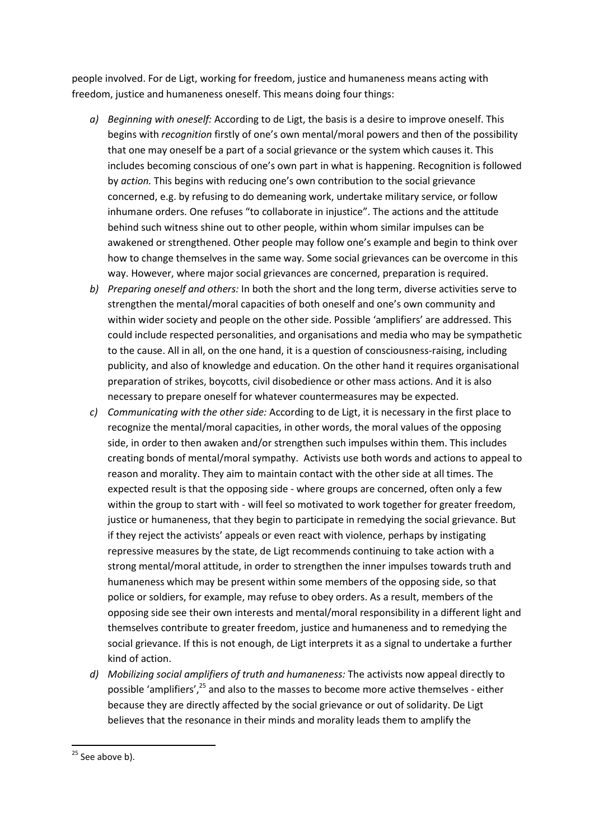people involved. For de Ligt, working for freedom, justice and humaneness means acting with freedom, justice and humaneness oneself. This means doing four things:

- *a) Beginning with oneself:* According to de Ligt, the basis is a desire to improve oneself. This begins with *recognition* firstly of one's own mental/moral powers and then of the possibility that one may oneself be a part of a social grievance or the system which causes it. This includes becoming conscious of one's own part in what is happening. Recognition is followed by *action.* This begins with reducing one's own contribution to the social grievance concerned, e.g. by refusing to do demeaning work, undertake military service, or follow inhumane orders. One refuses "to collaborate in injustice". The actions and the attitude behind such witness shine out to other people, within whom similar impulses can be awakened or strengthened. Other people may follow one's example and begin to think over how to change themselves in the same way. Some social grievances can be overcome in this way. However, where major social grievances are concerned, preparation is required.
- *b) Preparing oneself and others:* In both the short and the long term, diverse activities serve to strengthen the mental/moral capacities of both oneself and one's own community and within wider society and people on the other side. Possible 'amplifiers' are addressed. This could include respected personalities, and organisations and media who may be sympathetic to the cause. All in all, on the one hand, it is a question of consciousness-raising, including publicity, and also of knowledge and education. On the other hand it requires organisational preparation of strikes, boycotts, civil disobedience or other mass actions. And it is also necessary to prepare oneself for whatever countermeasures may be expected.
- *c) Communicating with the other side:* According to de Ligt, it is necessary in the first place to recognize the mental/moral capacities, in other words, the moral values of the opposing side, in order to then awaken and/or strengthen such impulses within them. This includes creating bonds of mental/moral sympathy. Activists use both words and actions to appeal to reason and morality. They aim to maintain contact with the other side at all times. The expected result is that the opposing side - where groups are concerned, often only a few within the group to start with - will feel so motivated to work together for greater freedom, justice or humaneness, that they begin to participate in remedying the social grievance. But if they reject the activists' appeals or even react with violence, perhaps by instigating repressive measures by the state, de Ligt recommends continuing to take action with a strong mental/moral attitude, in order to strengthen the inner impulses towards truth and humaneness which may be present within some members of the opposing side, so that police or soldiers, for example, may refuse to obey orders. As a result, members of the opposing side see their own interests and mental/moral responsibility in a different light and themselves contribute to greater freedom, justice and humaneness and to remedying the social grievance. If this is not enough, de Ligt interprets it as a signal to undertake a further kind of action.
- *d) Mobilizing social amplifiers of truth and humaneness:* The activists now appeal directly to possible 'amplifiers',<sup>25</sup> and also to the masses to become more active themselves - either because they are directly affected by the social grievance or out of solidarity. De Ligt believes that the resonance in their minds and morality leads them to amplify the

 $25$  See above b).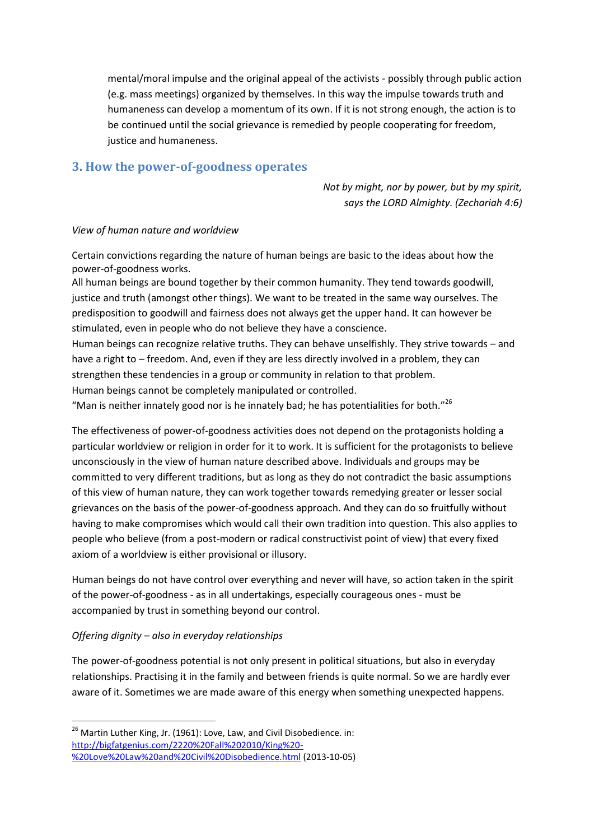mental/moral impulse and the original appeal of the activists - possibly through public action (e.g. mass meetings) organized by themselves. In this way the impulse towards truth and humaneness can develop a momentum of its own. If it is not strong enough, the action is to be continued until the social grievance is remedied by people cooperating for freedom, justice and humaneness.

### **3. How the power-of-goodness operates**

*Not by might, nor by power, but by my spirit, says the LORD Almighty. (Zechariah 4:6)*

#### *View of human nature and worldview*

Certain convictions regarding the nature of human beings are basic to the ideas about how the power-of-goodness works.

All human beings are bound together by their common humanity. They tend towards goodwill, justice and truth (amongst other things). We want to be treated in the same way ourselves. The predisposition to goodwill and fairness does not always get the upper hand. It can however be stimulated, even in people who do not believe they have a conscience.

Human beings can recognize relative truths. They can behave unselfishly. They strive towards – and have a right to – freedom. And, even if they are less directly involved in a problem, they can strengthen these tendencies in a group or community in relation to that problem. Human beings cannot be completely manipulated or controlled.

"Man is neither innately good nor is he innately bad; he has potentialities for both." $^{26}$ 

The effectiveness of power-of-goodness activities does not depend on the protagonists holding a particular worldview or religion in order for it to work. It is sufficient for the protagonists to believe unconsciously in the view of human nature described above. Individuals and groups may be committed to very different traditions, but as long as they do not contradict the basic assumptions of this view of human nature, they can work together towards remedying greater or lesser social grievances on the basis of the power-of-goodness approach. And they can do so fruitfully without having to make compromises which would call their own tradition into question. This also applies to people who believe (from a post-modern or radical constructivist point of view) that every fixed axiom of a worldview is either provisional or illusory.

Human beings do not have control over everything and never will have, so action taken in the spirit of the power-of-goodness - as in all undertakings, especially courageous ones - must be accompanied by trust in something beyond our control.

#### *Offering dignity – also in everyday relationships*

**.** 

The power-of-goodness potential is not only present in political situations, but also in everyday relationships. Practising it in the family and between friends is quite normal. So we are hardly ever aware of it. Sometimes we are made aware of this energy when something unexpected happens.

 $^{26}$  Martin Luther King, Jr. (1961): Love, Law, and Civil Disobedience. in: [http://bigfatgenius.com/2220%20Fall%202010/King%20-](http://bigfatgenius.com/2220%20Fall%202010/King%20-%20Love%20Law%20and%20Civil%20Disobedience.html) [%20Love%20Law%20and%20Civil%20Disobedience.html](http://bigfatgenius.com/2220%20Fall%202010/King%20-%20Love%20Law%20and%20Civil%20Disobedience.html) (2013-10-05)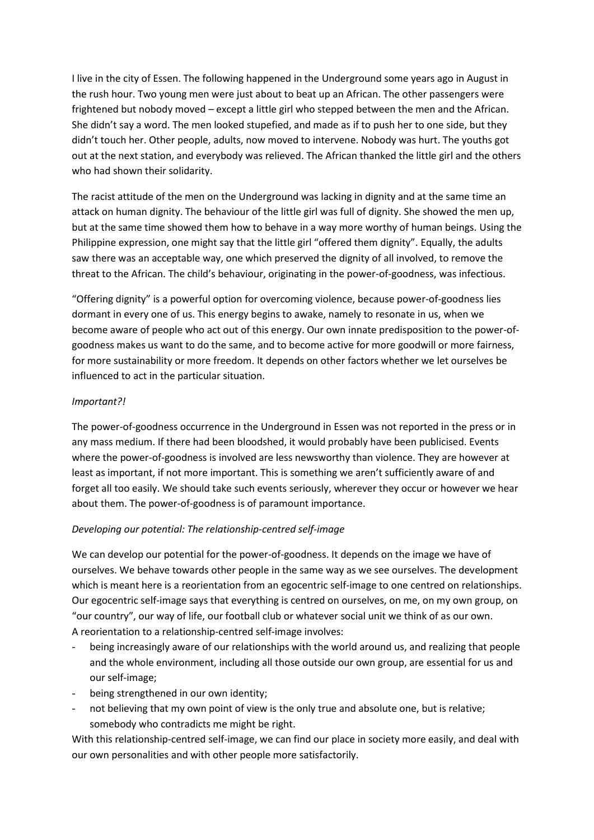I live in the city of Essen. The following happened in the Underground some years ago in August in the rush hour. Two young men were just about to beat up an African. The other passengers were frightened but nobody moved – except a little girl who stepped between the men and the African. She didn't say a word. The men looked stupefied, and made as if to push her to one side, but they didn't touch her. Other people, adults, now moved to intervene. Nobody was hurt. The youths got out at the next station, and everybody was relieved. The African thanked the little girl and the others who had shown their solidarity.

The racist attitude of the men on the Underground was lacking in dignity and at the same time an attack on human dignity. The behaviour of the little girl was full of dignity. She showed the men up, but at the same time showed them how to behave in a way more worthy of human beings. Using the Philippine expression, one might say that the little girl "offered them dignity". Equally, the adults saw there was an acceptable way, one which preserved the dignity of all involved, to remove the threat to the African. The child's behaviour, originating in the power-of-goodness, was infectious.

"Offering dignity" is a powerful option for overcoming violence, because power-of-goodness lies dormant in every one of us. This energy begins to awake, namely to resonate in us, when we become aware of people who act out of this energy. Our own innate predisposition to the power-ofgoodness makes us want to do the same, and to become active for more goodwill or more fairness, for more sustainability or more freedom. It depends on other factors whether we let ourselves be influenced to act in the particular situation.

#### *Important?!*

The power-of-goodness occurrence in the Underground in Essen was not reported in the press or in any mass medium. If there had been bloodshed, it would probably have been publicised. Events where the power-of-goodness is involved are less newsworthy than violence. They are however at least as important, if not more important. This is something we aren't sufficiently aware of and forget all too easily. We should take such events seriously, wherever they occur or however we hear about them. The power-of-goodness is of paramount importance.

#### *Developing our potential: The relationship-centred self-image*

We can develop our potential for the power-of-goodness. It depends on the image we have of ourselves. We behave towards other people in the same way as we see ourselves. The development which is meant here is a reorientation from an egocentric self-image to one centred on relationships. Our egocentric self-image says that everything is centred on ourselves, on me, on my own group, on "our country", our way of life, our football club or whatever social unit we think of as our own. A reorientation to a relationship-centred self-image involves:

- being increasingly aware of our relationships with the world around us, and realizing that people and the whole environment, including all those outside our own group, are essential for us and our self-image;
- being strengthened in our own identity;
- not believing that my own point of view is the only true and absolute one, but is relative; somebody who contradicts me might be right.

With this relationship-centred self-image, we can find our place in society more easily, and deal with our own personalities and with other people more satisfactorily.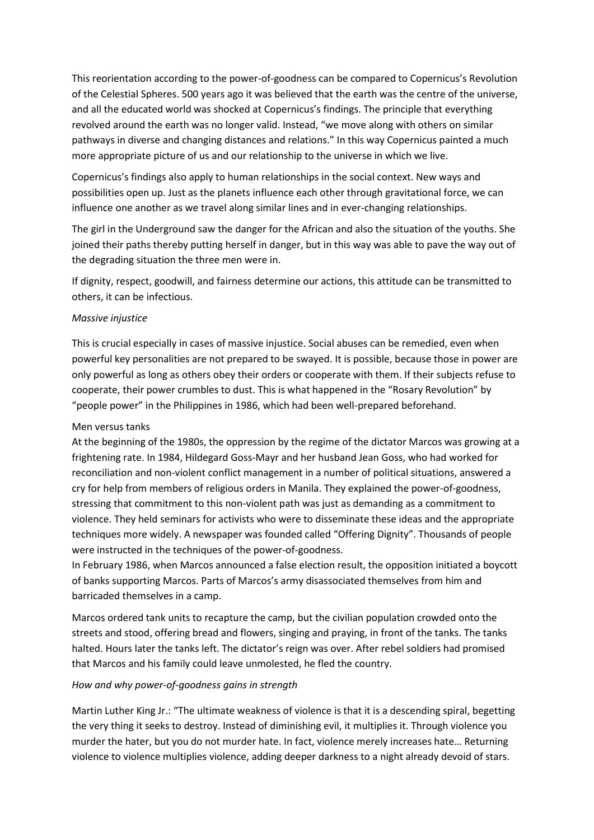This reorientation according to the power-of-goodness can be compared to Copernicus's Revolution of the Celestial Spheres. 500 years ago it was believed that the earth was the centre of the universe, and all the educated world was shocked at Copernicus's findings. The principle that everything revolved around the earth was no longer valid. Instead, "we move along with others on similar pathways in diverse and changing distances and relations." In this way Copernicus painted a much more appropriate picture of us and our relationship to the universe in which we live.

Copernicus's findings also apply to human relationships in the social context. New ways and possibilities open up. Just as the planets influence each other through gravitational force, we can influence one another as we travel along similar lines and in ever-changing relationships.

The girl in the Underground saw the danger for the African and also the situation of the youths. She joined their paths thereby putting herself in danger, but in this way was able to pave the way out of the degrading situation the three men were in.

If dignity, respect, goodwill, and fairness determine our actions, this attitude can be transmitted to others, it can be infectious.

#### *Massive injustice*

This is crucial especially in cases of massive injustice. Social abuses can be remedied, even when powerful key personalities are not prepared to be swayed. It is possible, because those in power are only powerful as long as others obey their orders or cooperate with them. If their subjects refuse to cooperate, their power crumbles to dust. This is what happened in the "Rosary Revolution" by "people power" in the Philippines in 1986, which had been well-prepared beforehand.

#### Men versus tanks

At the beginning of the 1980s, the oppression by the regime of the dictator Marcos was growing at a frightening rate. In 1984, Hildegard Goss-Mayr and her husband Jean Goss, who had worked for reconciliation and non-violent conflict management in a number of political situations, answered a cry for help from members of religious orders in Manila. They explained the power-of-goodness, stressing that commitment to this non-violent path was just as demanding as a commitment to violence. They held seminars for activists who were to disseminate these ideas and the appropriate techniques more widely. A newspaper was founded called "Offering Dignity". Thousands of people were instructed in the techniques of the power-of-goodness.

In February 1986, when Marcos announced a false election result, the opposition initiated a boycott of banks supporting Marcos. Parts of Marcos's army disassociated themselves from him and barricaded themselves in a camp.

Marcos ordered tank units to recapture the camp, but the civilian population crowded onto the streets and stood, offering bread and flowers, singing and praying, in front of the tanks. The tanks halted. Hours later the tanks left. The dictator's reign was over. After rebel soldiers had promised that Marcos and his family could leave unmolested, he fled the country.

#### *How and why power-of-goodness gains in strength*

Martin Luther King Jr.: "The ultimate weakness of violence is that it is a descending spiral, begetting the very thing it seeks to destroy. Instead of diminishing evil, it multiplies it. Through violence you murder the hater, but you do not murder hate. In fact, violence merely increases hate… Returning violence to violence multiplies violence, adding deeper darkness to a night already devoid of stars.